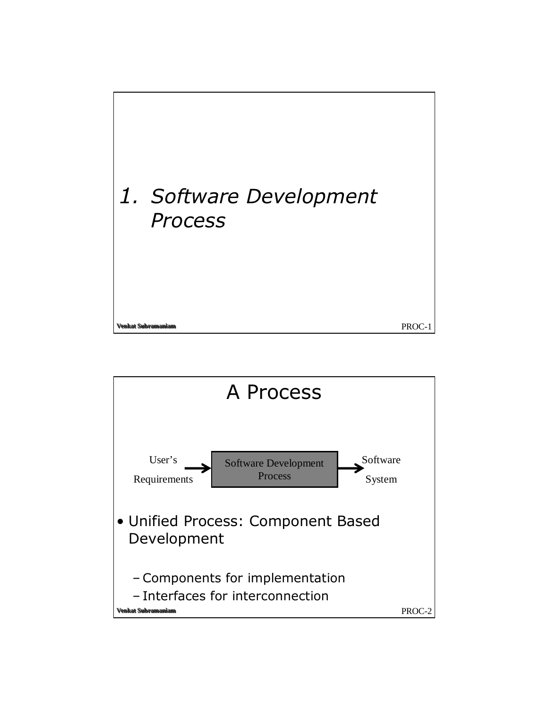

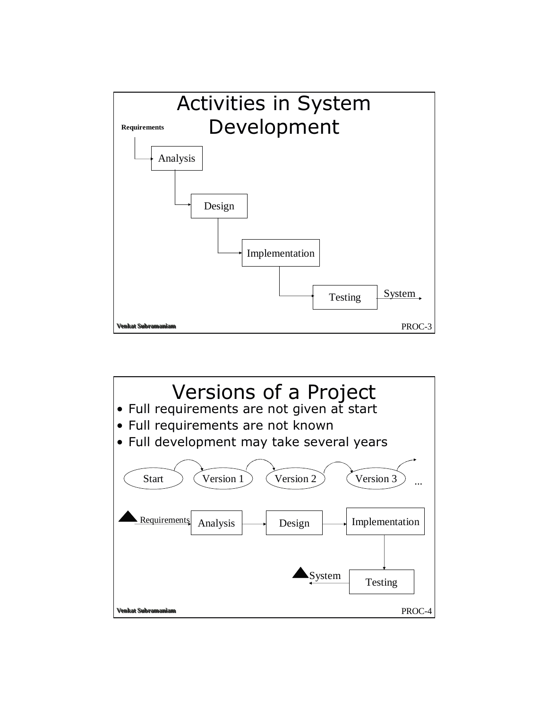

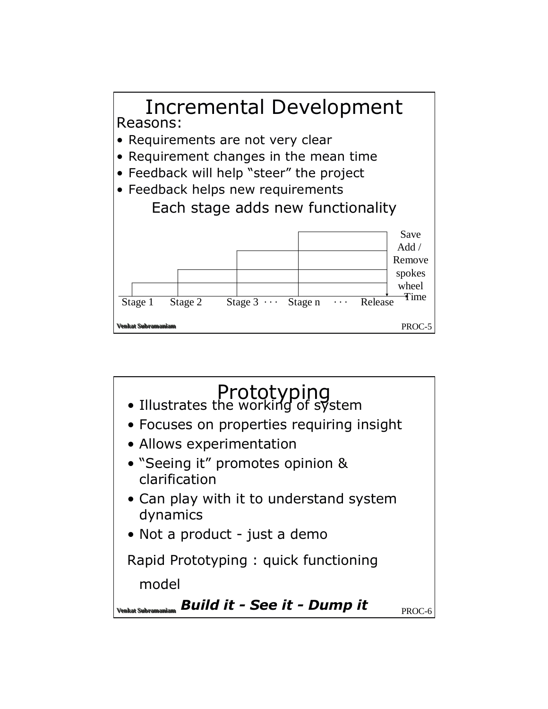

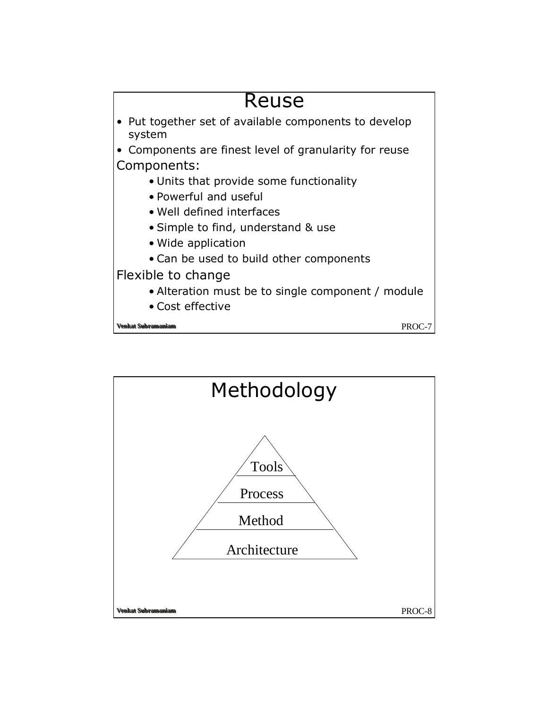

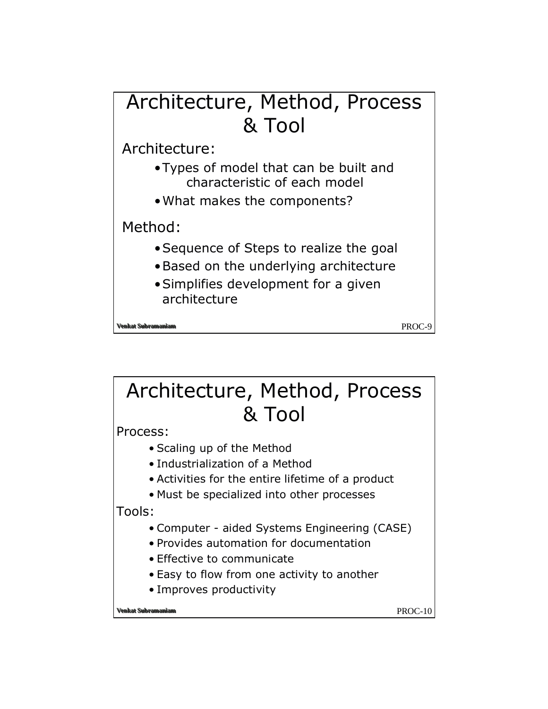## Architecture, Method, Process & Tool Architecture: • Types of model that can be built and characteristic of each model . What makes the components? Method: • Sequence of Steps to realize the goal

- . Based on the underlying architecture
- Simplifies development for a given architecture

at Subramani

PROC-9

## Architecture, Method, Process & Tool

Process:

- Scaling up of the Method
- Industrialization of a Method
- Activities for the entire lifetime of a product
- Must be specialized into other processes

Tools:

- Computer aided Systems Engineering (CASE)
- Provides automation for documentation
- Effective to communicate
- Easy to flow from one activity to another
- Improves productivity

**enkat Suhram** 

PROC-10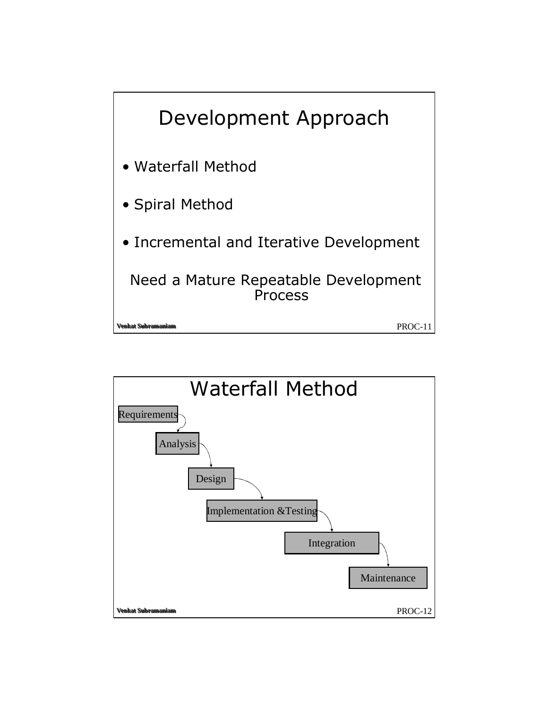

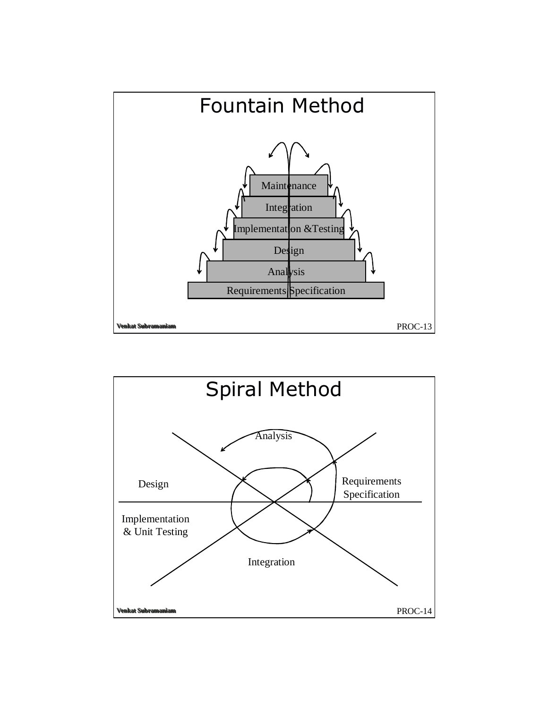

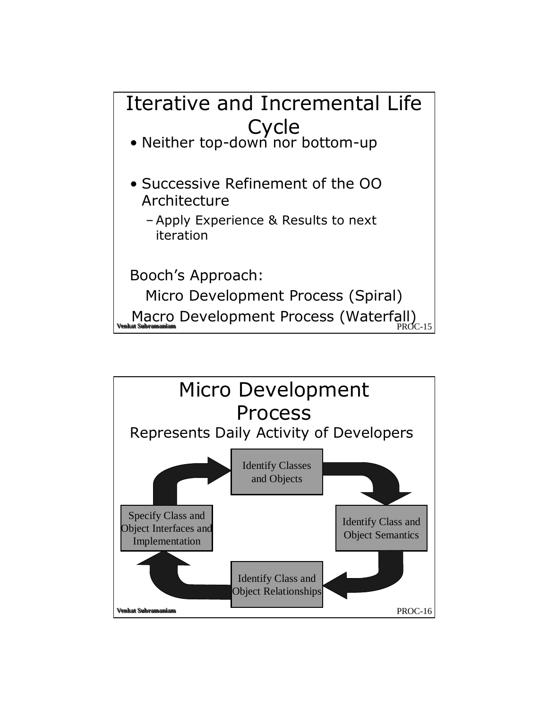

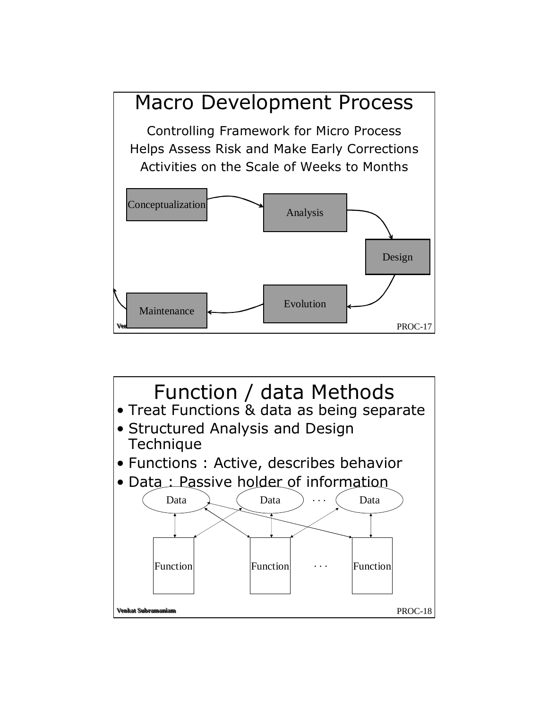

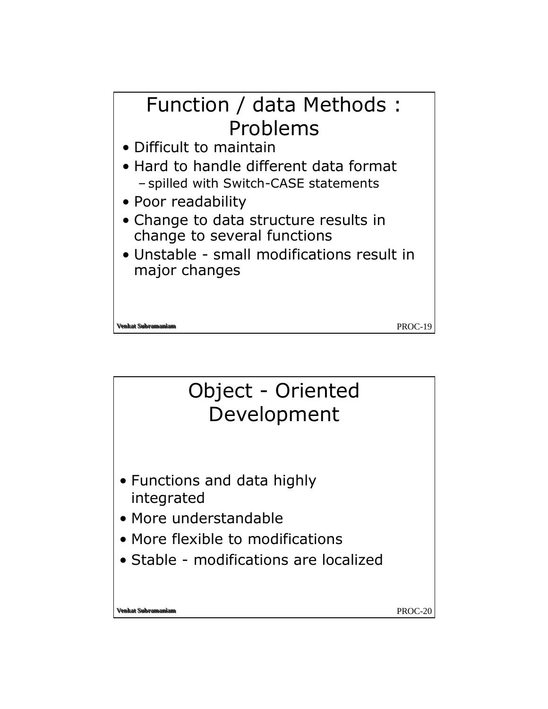

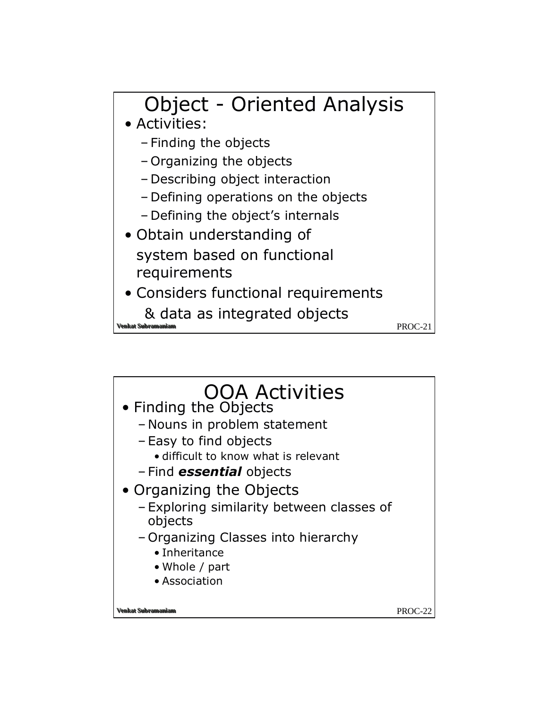![](_page_10_Figure_0.jpeg)

![](_page_10_Figure_1.jpeg)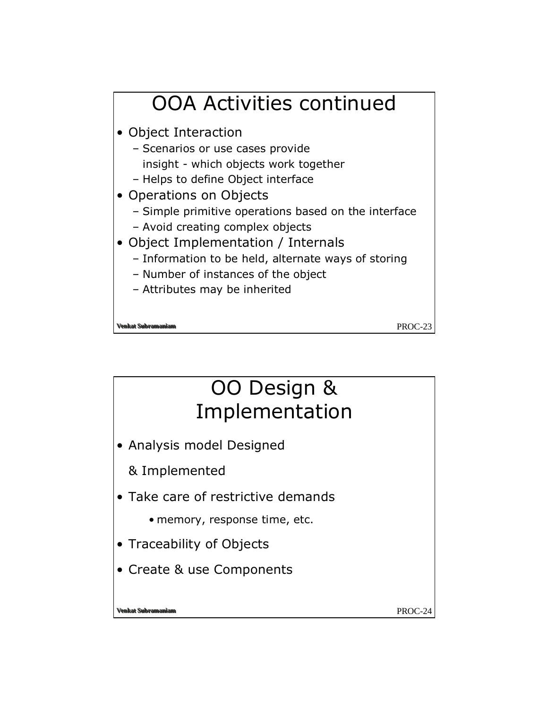![](_page_11_Figure_0.jpeg)

## OO Design & Implementation

• Analysis model Designed

& Implemented

- Take care of restrictive demands
	- memory, response time, etc.
- Traceability of Objects
- Create & use Components

enkat Suhramaniar

PROC-24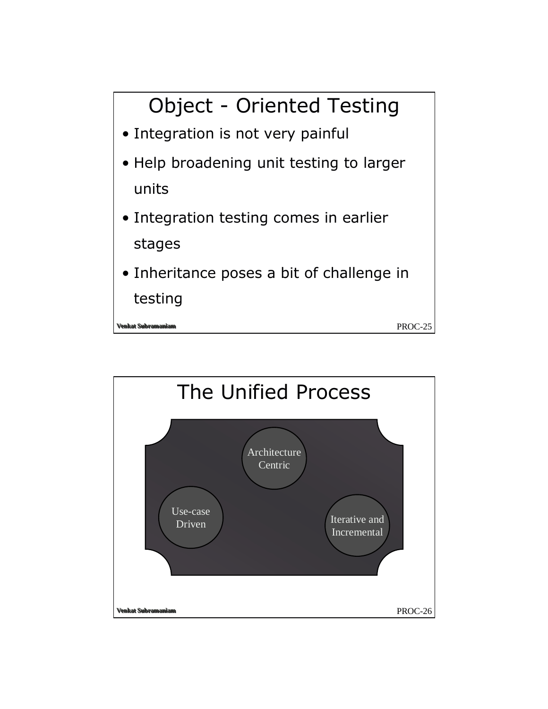![](_page_12_Figure_0.jpeg)

![](_page_12_Figure_1.jpeg)